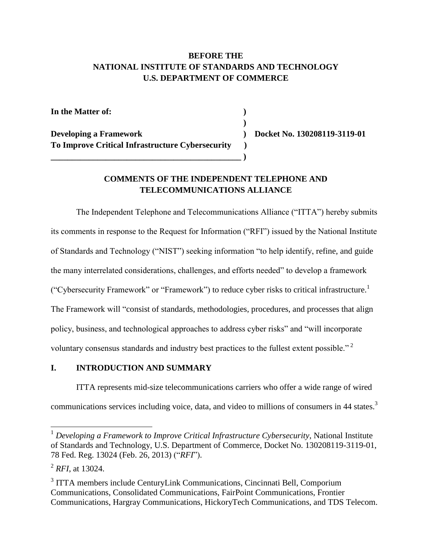## **BEFORE THE NATIONAL INSTITUTE OF STANDARDS AND TECHNOLOGY U.S. DEPARTMENT OF COMMERCE**

 **)**

**In the Matter of: )**

**Developing a Framework ) Docket No. 130208119-3119-01 To Improve Critical Infrastructure Cybersecurity )**

**\_\_\_\_\_\_\_\_\_\_\_\_\_\_\_\_\_\_\_\_\_\_\_\_\_\_\_\_\_\_\_\_\_\_\_\_\_\_\_\_\_\_\_\_\_ )**

## **COMMENTS OF THE INDEPENDENT TELEPHONE AND TELECOMMUNICATIONS ALLIANCE**

The Independent Telephone and Telecommunications Alliance ("ITTA") hereby submits its comments in response to the Request for Information ("RFI") issued by the National Institute of Standards and Technology ("NIST") seeking information "to help identify, refine, and guide the many interrelated considerations, challenges, and efforts needed" to develop a framework ("Cybersecurity Framework" or "Framework") to reduce cyber risks to critical infrastructure.<sup>1</sup> The Framework will "consist of standards, methodologies, procedures, and processes that align policy, business, and technological approaches to address cyber risks" and "will incorporate voluntary consensus standards and industry best practices to the fullest extent possible."<sup>2</sup>

## **I. INTRODUCTION AND SUMMARY**

ITTA represents mid-size telecommunications carriers who offer a wide range of wired communications services including voice, data, and video to millions of consumers in 44 states.<sup>3</sup>

 $\overline{a}$ 

<sup>&</sup>lt;sup>1</sup> Developing a Framework to Improve Critical Infrastructure Cybersecurity, National Institute of Standards and Technology, U.S. Department of Commerce, Docket No. 130208119-3119-01, 78 Fed. Reg. 13024 (Feb. 26, 2013) ("*RFI*").

<sup>2</sup> *RFI*, at 13024.

<sup>&</sup>lt;sup>3</sup> ITTA members include CenturyLink Communications, Cincinnati Bell, Comporium Communications, Consolidated Communications, FairPoint Communications, Frontier Communications, Hargray Communications, HickoryTech Communications, and TDS Telecom.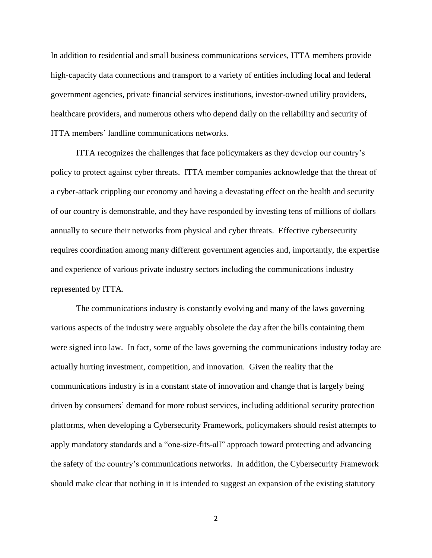In addition to residential and small business communications services, ITTA members provide high-capacity data connections and transport to a variety of entities including local and federal government agencies, private financial services institutions, investor-owned utility providers, healthcare providers, and numerous others who depend daily on the reliability and security of ITTA members' landline communications networks.

ITTA recognizes the challenges that face policymakers as they develop our country's policy to protect against cyber threats. ITTA member companies acknowledge that the threat of a cyber-attack crippling our economy and having a devastating effect on the health and security of our country is demonstrable, and they have responded by investing tens of millions of dollars annually to secure their networks from physical and cyber threats. Effective cybersecurity requires coordination among many different government agencies and, importantly, the expertise and experience of various private industry sectors including the communications industry represented by ITTA.

The communications industry is constantly evolving and many of the laws governing various aspects of the industry were arguably obsolete the day after the bills containing them were signed into law. In fact, some of the laws governing the communications industry today are actually hurting investment, competition, and innovation. Given the reality that the communications industry is in a constant state of innovation and change that is largely being driven by consumers' demand for more robust services, including additional security protection platforms, when developing a Cybersecurity Framework, policymakers should resist attempts to apply mandatory standards and a "one-size-fits-all" approach toward protecting and advancing the safety of the country's communications networks. In addition, the Cybersecurity Framework should make clear that nothing in it is intended to suggest an expansion of the existing statutory

2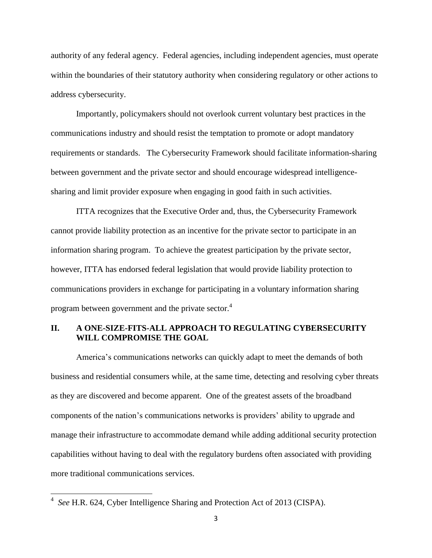authority of any federal agency. Federal agencies, including independent agencies, must operate within the boundaries of their statutory authority when considering regulatory or other actions to address cybersecurity.

Importantly, policymakers should not overlook current voluntary best practices in the communications industry and should resist the temptation to promote or adopt mandatory requirements or standards. The Cybersecurity Framework should facilitate information-sharing between government and the private sector and should encourage widespread intelligencesharing and limit provider exposure when engaging in good faith in such activities.

ITTA recognizes that the Executive Order and, thus, the Cybersecurity Framework cannot provide liability protection as an incentive for the private sector to participate in an information sharing program. To achieve the greatest participation by the private sector, however, ITTA has endorsed federal legislation that would provide liability protection to communications providers in exchange for participating in a voluntary information sharing program between government and the private sector.<sup>4</sup>

## **II. A ONE-SIZE-FITS-ALL APPROACH TO REGULATING CYBERSECURITY WILL COMPROMISE THE GOAL**

America's communications networks can quickly adapt to meet the demands of both business and residential consumers while, at the same time, detecting and resolving cyber threats as they are discovered and become apparent. One of the greatest assets of the broadband components of the nation's communications networks is providers' ability to upgrade and manage their infrastructure to accommodate demand while adding additional security protection capabilities without having to deal with the regulatory burdens often associated with providing more traditional communications services.

 4 *See* H.R. 624, Cyber Intelligence Sharing and Protection Act of 2013 (CISPA).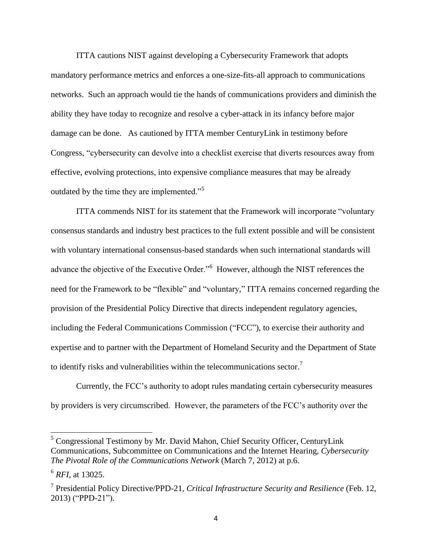ITTA cautions NIST against developing a Cybersecurity Framework that adopts mandatory performance metrics and enforces a one-size-fits-all approach to communications networks. Such an approach would tie the hands of communications providers and diminish the ability they have today to recognize and resolve a cyber-attack in its infancy before major damage can be done. As cautioned by ITTA member CenturyLink in testimony before Congress, "cybersecurity can devolve into a checklist exercise that diverts resources away from effective, evolving protections, into expensive compliance measures that may be already outdated by the time they are implemented."<sup>5</sup>

ITTA commends NIST for its statement that the Framework will incorporate "voluntary consensus standards and industry best practices to the full extent possible and will be consistent with voluntary international consensus-based standards when such international standards will advance the objective of the Executive Order."<sup>6</sup> However, although the NIST references the need for the Framework to be "flexible" and "voluntary," ITTA remains concerned regarding the provision of the Presidential Policy Directive that directs independent regulatory agencies, including the Federal Communications Commission ("FCC"), to exercise their authority and expertise and to partner with the Department of Homeland Security and the Department of State to identify risks and vulnerabilities within the telecommunications sector.<sup>7</sup>

Currently, the FCC's authority to adopt rules mandating certain cybersecurity measures by providers is very circumscribed. However, the parameters of the FCC's authority over the

 $\overline{\phantom{a}}$ 

<sup>&</sup>lt;sup>5</sup> Congressional Testimony by Mr. David Mahon, Chief Security Officer, CenturyLink Communications, Subcommittee on Communications and the Internet Hearing, *Cybersecurity The Pivotal Role of the Communications Network* (March 7, 2012) at p.6.

<sup>6</sup> *RFI*, at 13025.

<sup>7</sup> Presidential Policy Directive/PPD-21, *Critical Infrastructure Security and Resilience* (Feb. 12, 2013) ("PPD-21").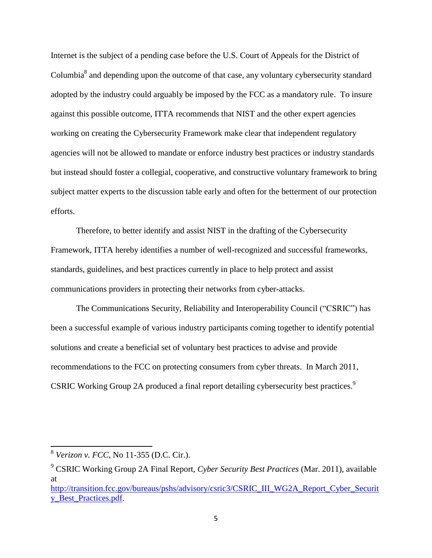Internet is the subject of a pending case before the U.S. Court of Appeals for the District of Columbia<sup>8</sup> and depending upon the outcome of that case, any voluntary cybersecurity standard adopted by the industry could arguably be imposed by the FCC as a mandatory rule. To insure against this possible outcome, ITTA recommends that NIST and the other expert agencies working on creating the Cybersecurity Framework make clear that independent regulatory agencies will not be allowed to mandate or enforce industry best practices or industry standards but instead should foster a collegial, cooperative, and constructive voluntary framework to bring subject matter experts to the discussion table early and often for the betterment of our protection efforts.

Therefore, to better identify and assist NIST in the drafting of the Cybersecurity Framework, ITTA hereby identifies a number of well-recognized and successful frameworks, standards, guidelines, and best practices currently in place to help protect and assist communications providers in protecting their networks from cyber-attacks.

The Communications Security, Reliability and Interoperability Council ("CSRIC") has been a successful example of various industry participants coming together to identify potential solutions and create a beneficial set of voluntary best practices to advise and provide recommendations to the FCC on protecting consumers from cyber threats. In March 2011, CSRIC Working Group 2A produced a final report detailing cybersecurity best practices.<sup>9</sup>

 8 *Verizon v. FCC*, No 11-355 (D.C. Cir.).

<sup>9</sup> CSRIC Working Group 2A Final Report, *Cyber Security Best Practices* (Mar. 2011), available at

[http://transition.fcc.gov/bureaus/pshs/advisory/csric3/CSRIC\\_III\\_WG2A\\_Report\\_Cyber\\_Securit](http://transition.fcc.gov/bureaus/pshs/advisory/csric3/CSRIC_III_WG2A_Report_Cyber_Security_Best_Practices.pdf) [y\\_Best\\_Practices.pdf.](http://transition.fcc.gov/bureaus/pshs/advisory/csric3/CSRIC_III_WG2A_Report_Cyber_Security_Best_Practices.pdf)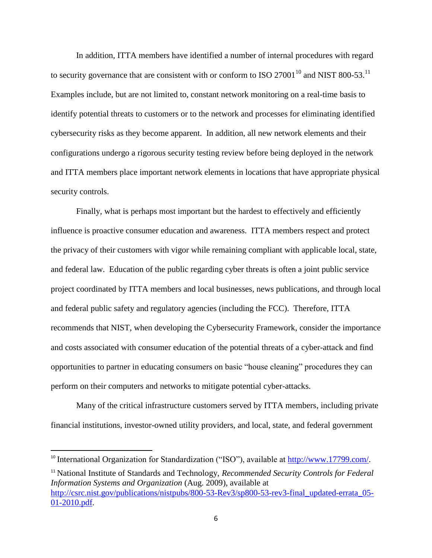In addition, ITTA members have identified a number of internal procedures with regard to security governance that are consistent with or conform to ISO 27001<sup>10</sup> and NIST 800-53.<sup>11</sup> Examples include, but are not limited to, constant network monitoring on a real-time basis to identify potential threats to customers or to the network and processes for eliminating identified cybersecurity risks as they become apparent. In addition, all new network elements and their configurations undergo a rigorous security testing review before being deployed in the network and ITTA members place important network elements in locations that have appropriate physical security controls.

Finally, what is perhaps most important but the hardest to effectively and efficiently influence is proactive consumer education and awareness. ITTA members respect and protect the privacy of their customers with vigor while remaining compliant with applicable local, state, and federal law. Education of the public regarding cyber threats is often a joint public service project coordinated by ITTA members and local businesses, news publications, and through local and federal public safety and regulatory agencies (including the FCC). Therefore, ITTA recommends that NIST, when developing the Cybersecurity Framework, consider the importance and costs associated with consumer education of the potential threats of a cyber-attack and find opportunities to partner in educating consumers on basic "house cleaning" procedures they can perform on their computers and networks to mitigate potential cyber-attacks.

Many of the critical infrastructure customers served by ITTA members, including private financial institutions, investor-owned utility providers, and local, state, and federal government

 $\overline{\phantom{a}}$ 

<sup>11</sup> National Institute of Standards and Technology, *Recommended Security Controls for Federal Information Systems and Organization* (Aug. 2009), available at [http://csrc.nist.gov/publications/nistpubs/800-53-Rev3/sp800-53-rev3-final\\_updated-errata\\_05-](http://csrc.nist.gov/publications/nistpubs/800-53-Rev3/sp800-53-rev3-final_updated-errata_05-01-2010.pdf) [01-2010.pdf.](http://csrc.nist.gov/publications/nistpubs/800-53-Rev3/sp800-53-rev3-final_updated-errata_05-01-2010.pdf)

<sup>&</sup>lt;sup>10</sup> International Organization for Standardization ("ISO"), available at [http://www.17799.com/.](http://www.17799.com/)